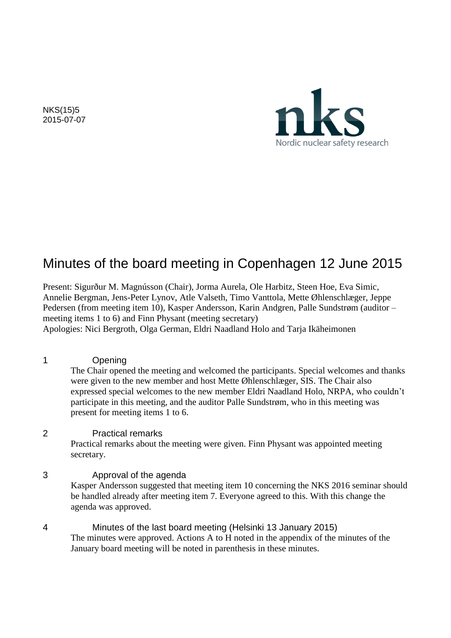NKS(15)5 2015-07-07



# Minutes of the board meeting in Copenhagen 12 June 2015

Present: Sigurður M. Magnússon (Chair), Jorma Aurela, Ole Harbitz, Steen Hoe, Eva Simic, Annelie Bergman, Jens-Peter Lynov, Atle Valseth, Timo Vanttola, Mette Øhlenschlæger, Jeppe Pedersen (from meeting item 10), Kasper Andersson, Karin Andgren, Palle Sundstrøm (auditor – meeting items 1 to 6) and Finn Physant (meeting secretary) Apologies: Nici Bergroth, Olga German, Eldri Naadland Holo and Tarja Ikäheimonen

1 Opening

The Chair opened the meeting and welcomed the participants. Special welcomes and thanks were given to the new member and host Mette Øhlenschlæger, SIS. The Chair also expressed special welcomes to the new member Eldri Naadland Holo, NRPA, who couldn't participate in this meeting, and the auditor Palle Sundstrøm, who in this meeting was present for meeting items 1 to 6.

#### 2 Practical remarks

Practical remarks about the meeting were given. Finn Physant was appointed meeting secretary.

#### 3 Approval of the agenda

Kasper Andersson suggested that meeting item 10 concerning the NKS 2016 seminar should be handled already after meeting item 7. Everyone agreed to this. With this change the agenda was approved.

4 Minutes of the last board meeting (Helsinki 13 January 2015) The minutes were approved. Actions A to H noted in the appendix of the minutes of the January board meeting will be noted in parenthesis in these minutes.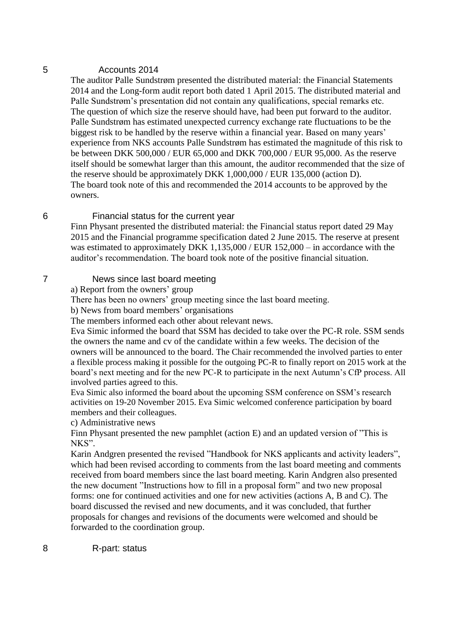#### 5 Accounts 2014

The auditor Palle Sundstrøm presented the distributed material: the Financial Statements 2014 and the Long-form audit report both dated 1 April 2015. The distributed material and Palle Sundstrøm's presentation did not contain any qualifications, special remarks etc. The question of which size the reserve should have, had been put forward to the auditor. Palle Sundstrøm has estimated unexpected currency exchange rate fluctuations to be the biggest risk to be handled by the reserve within a financial year. Based on many years' experience from NKS accounts Palle Sundstrøm has estimated the magnitude of this risk to be between DKK 500,000 / EUR 65,000 and DKK 700,000 / EUR 95,000. As the reserve itself should be somewhat larger than this amount, the auditor recommended that the size of the reserve should be approximately DKK 1,000,000 / EUR 135,000 (action D). The board took note of this and recommended the 2014 accounts to be approved by the owners.

#### 6 Financial status for the current year

Finn Physant presented the distributed material: the Financial status report dated 29 May 2015 and the Financial programme specification dated 2 June 2015. The reserve at present was estimated to approximately DKK 1,135,000 / EUR 152,000 – in accordance with the auditor's recommendation. The board took note of the positive financial situation.

## 7 News since last board meeting

a) Report from the owners' group

There has been no owners' group meeting since the last board meeting.

b) News from board members' organisations

The members informed each other about relevant news.

Eva Simic informed the board that SSM has decided to take over the PC-R role. SSM sends the owners the name and cv of the candidate within a few weeks. The decision of the owners will be announced to the board. The Chair recommended the involved parties to enter a flexible process making it possible for the outgoing PC-R to finally report on 2015 work at the board's next meeting and for the new PC-R to participate in the next Autumn's CfP process. All involved parties agreed to this.

Eva Simic also informed the board about the upcoming SSM conference on SSM's research activities on 19-20 November 2015. Eva Simic welcomed conference participation by board members and their colleagues.

c) Administrative news

Finn Physant presented the new pamphlet (action E) and an updated version of "This is NKS".

Karin Andgren presented the revised "Handbook for NKS applicants and activity leaders", which had been revised according to comments from the last board meeting and comments received from board members since the last board meeting. Karin Andgren also presented the new document "Instructions how to fill in a proposal form" and two new proposal forms: one for continued activities and one for new activities (actions A, B and C). The board discussed the revised and new documents, and it was concluded, that further proposals for changes and revisions of the documents were welcomed and should be forwarded to the coordination group.

8 R-part: status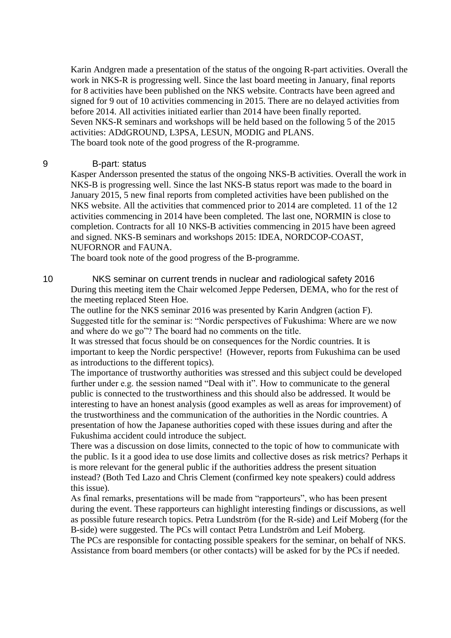Karin Andgren made a presentation of the status of the ongoing R-part activities. Overall the work in NKS-R is progressing well. Since the last board meeting in January, final reports for 8 activities have been published on the NKS website. Contracts have been agreed and signed for 9 out of 10 activities commencing in 2015. There are no delayed activities from before 2014. All activities initiated earlier than 2014 have been finally reported. Seven NKS-R seminars and workshops will be held based on the following 5 of the 2015 activities: ADdGROUND, L3PSA, LESUN, MODIG and PLANS. The board took note of the good progress of the R-programme.

#### 9 B-part: status

Kasper Andersson presented the status of the ongoing NKS-B activities. Overall the work in NKS-B is progressing well. Since the last NKS-B status report was made to the board in January 2015, 5 new final reports from completed activities have been published on the NKS website. All the activities that commenced prior to 2014 are completed. 11 of the 12 activities commencing in 2014 have been completed. The last one, NORMIN is close to completion. Contracts for all 10 NKS-B activities commencing in 2015 have been agreed and signed. NKS-B seminars and workshops 2015: IDEA, NORDCOP-COAST, NUFORNOR and FAUNA.

The board took note of the good progress of the B-programme.

10 NKS seminar on current trends in nuclear and radiological safety 2016 During this meeting item the Chair welcomed Jeppe Pedersen, DEMA, who for the rest of the meeting replaced Steen Hoe.

The outline for the NKS seminar 2016 was presented by Karin Andgren (action F). Suggested title for the seminar is: "Nordic perspectives of Fukushima: Where are we now and where do we go"? The board had no comments on the title.

It was stressed that focus should be on consequences for the Nordic countries. It is important to keep the Nordic perspective! (However, reports from Fukushima can be used as introductions to the different topics).

The importance of trustworthy authorities was stressed and this subject could be developed further under e.g. the session named "Deal with it". How to communicate to the general public is connected to the trustworthiness and this should also be addressed. It would be interesting to have an honest analysis (good examples as well as areas for improvement) of the trustworthiness and the communication of the authorities in the Nordic countries. A presentation of how the Japanese authorities coped with these issues during and after the Fukushima accident could introduce the subject.

There was a discussion on dose limits, connected to the topic of how to communicate with the public. Is it a good idea to use dose limits and collective doses as risk metrics? Perhaps it is more relevant for the general public if the authorities address the present situation instead? (Both Ted Lazo and Chris Clement (confirmed key note speakers) could address this issue).

As final remarks, presentations will be made from "rapporteurs", who has been present during the event. These rapporteurs can highlight interesting findings or discussions, as well as possible future research topics. Petra Lundström (for the R-side) and Leif Moberg (for the B-side) were suggested. The PCs will contact Petra Lundström and Leif Moberg.

The PCs are responsible for contacting possible speakers for the seminar, on behalf of NKS. Assistance from board members (or other contacts) will be asked for by the PCs if needed.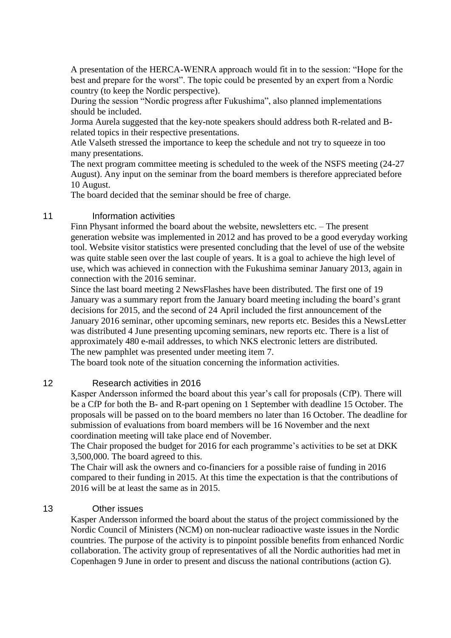A presentation of the HERCA-WENRA approach would fit in to the session: "Hope for the best and prepare for the worst". The topic could be presented by an expert from a Nordic country (to keep the Nordic perspective).

During the session "Nordic progress after Fukushima", also planned implementations should be included.

Jorma Aurela suggested that the key-note speakers should address both R-related and Brelated topics in their respective presentations.

Atle Valseth stressed the importance to keep the schedule and not try to squeeze in too many presentations.

The next program committee meeting is scheduled to the week of the NSFS meeting (24-27 August). Any input on the seminar from the board members is therefore appreciated before 10 August.

The board decided that the seminar should be free of charge.

### 11 **Information activities**

Finn Physant informed the board about the website, newsletters etc. – The present generation website was implemented in 2012 and has proved to be a good everyday working tool. Website visitor statistics were presented concluding that the level of use of the website was quite stable seen over the last couple of years. It is a goal to achieve the high level of use, which was achieved in connection with the Fukushima seminar January 2013, again in connection with the 2016 seminar.

Since the last board meeting 2 NewsFlashes have been distributed. The first one of 19 January was a summary report from the January board meeting including the board's grant decisions for 2015, and the second of 24 April included the first announcement of the January 2016 seminar, other upcoming seminars, new reports etc. Besides this a NewsLetter was distributed 4 June presenting upcoming seminars, new reports etc. There is a list of approximately 480 e-mail addresses, to which NKS electronic letters are distributed. The new pamphlet was presented under meeting item 7.

The board took note of the situation concerning the information activities.

#### 12 Research activities in 2016

Kasper Andersson informed the board about this year's call for proposals (CfP). There will be a CfP for both the B- and R-part opening on 1 September with deadline 15 October. The proposals will be passed on to the board members no later than 16 October. The deadline for submission of evaluations from board members will be 16 November and the next coordination meeting will take place end of November.

The Chair proposed the budget for 2016 for each programme's activities to be set at DKK 3,500,000. The board agreed to this.

The Chair will ask the owners and co-financiers for a possible raise of funding in 2016 compared to their funding in 2015. At this time the expectation is that the contributions of 2016 will be at least the same as in 2015.

#### 13 Other issues

Kasper Andersson informed the board about the status of the project commissioned by the Nordic Council of Ministers (NCM) on non-nuclear radioactive waste issues in the Nordic countries. The purpose of the activity is to pinpoint possible benefits from enhanced Nordic collaboration. The activity group of representatives of all the Nordic authorities had met in Copenhagen 9 June in order to present and discuss the national contributions (action G).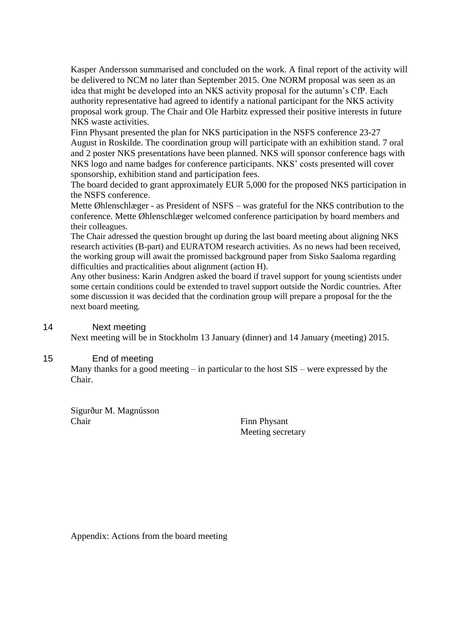Kasper Andersson summarised and concluded on the work. A final report of the activity will be delivered to NCM no later than September 2015. One NORM proposal was seen as an idea that might be developed into an NKS activity proposal for the autumn's CfP. Each authority representative had agreed to identify a national participant for the NKS activity proposal work group. The Chair and Ole Harbitz expressed their positive interests in future NKS waste activities.

Finn Physant presented the plan for NKS participation in the NSFS conference 23-27 August in Roskilde. The coordination group will participate with an exhibition stand. 7 oral and 2 poster NKS presentations have been planned. NKS will sponsor conference bags with NKS logo and name badges for conference participants. NKS' costs presented will cover sponsorship, exhibition stand and participation fees.

The board decided to grant approximately EUR 5,000 for the proposed NKS participation in the NSFS conference.

Mette Øhlenschlæger - as President of NSFS – was grateful for the NKS contribution to the conference. Mette Øhlenschlæger welcomed conference participation by board members and their colleagues.

The Chair adressed the question brought up during the last board meeting about aligning NKS research activities (B-part) and EURATOM research activities. As no news had been received, the working group will await the promissed background paper from Sisko Saaloma regarding difficulties and practicalities about alignment (action H).

Any other business: Karin Andgren asked the board if travel support for young scientists under some certain conditions could be extended to travel support outside the Nordic countries. After some discussion it was decided that the cordination group will prepare a proposal for the the next board meeting.

#### 14 Next meeting

Next meeting will be in Stockholm 13 January (dinner) and 14 January (meeting) 2015.

#### 15 End of meeting

Many thanks for a good meeting – in particular to the host SIS – were expressed by the Chair.

Sigurður M. Magnússon Chair Finn Physant

Meeting secretary

Appendix: Actions from the board meeting